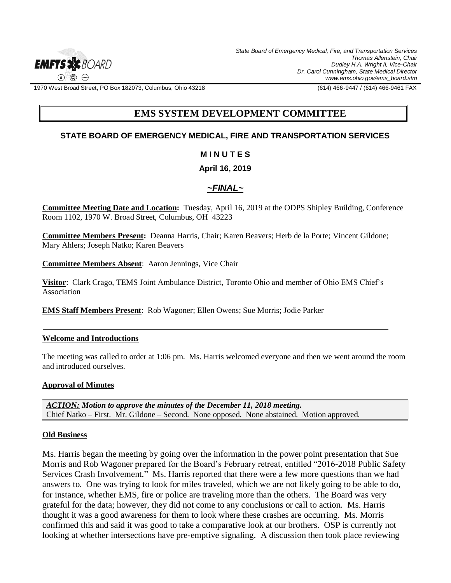

1970 West Broad Street, PO Box 182073, Columbus, Ohio 43218 (614) 466-9447 / (614) 466-9461 FAX

# **EMS SYSTEM DEVELOPMENT COMMITTEE**

## **STATE BOARD OF EMERGENCY MEDICAL, FIRE AND TRANSPORTATION SERVICES**

### **M I N U T E S**

### **April 16, 2019**

# *~FINAL~*

**Committee Meeting Date and Location:** Tuesday, April 16, 2019 at the ODPS Shipley Building, Conference Room 1102, 1970 W. Broad Street, Columbus, OH 43223

**Committee Members Present:** Deanna Harris, Chair; Karen Beavers; Herb de la Porte; Vincent Gildone; Mary Ahlers; Joseph Natko; Karen Beavers

**Committee Members Absent**: Aaron Jennings, Vice Chair

**Visitor**: Clark Crago, TEMS Joint Ambulance District, Toronto Ohio and member of Ohio EMS Chief's Association

**EMS Staff Members Present**: Rob Wagoner; Ellen Owens; Sue Morris; Jodie Parker

#### **Welcome and Introductions**

The meeting was called to order at 1:06 pm. Ms. Harris welcomed everyone and then we went around the room and introduced ourselves.

### **Approval of Minutes**

*ACTION: Motion to approve the minutes of the December 11, 2018 meeting.*  Chief Natko – First. Mr. Gildone – Second. None opposed. None abstained. Motion approved.

#### **Old Business**

Ms. Harris began the meeting by going over the information in the power point presentation that Sue Morris and Rob Wagoner prepared for the Board's February retreat, entitled "2016-2018 Public Safety Services Crash Involvement." Ms. Harris reported that there were a few more questions than we had answers to. One was trying to look for miles traveled, which we are not likely going to be able to do, for instance, whether EMS, fire or police are traveling more than the others. The Board was very grateful for the data; however, they did not come to any conclusions or call to action. Ms. Harris thought it was a good awareness for them to look where these crashes are occurring. Ms. Morris confirmed this and said it was good to take a comparative look at our brothers. OSP is currently not looking at whether intersections have pre-emptive signaling. A discussion then took place reviewing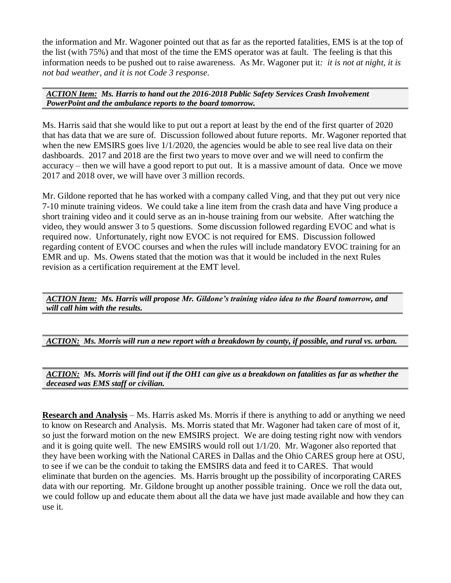the information and Mr. Wagoner pointed out that as far as the reported fatalities, EMS is at the top of the list (with 75%) and that most of the time the EMS operator was at fault. The feeling is that this information needs to be pushed out to raise awareness. As Mr. Wagoner put it*: it is not at night, it is not bad weather, and it is not Code 3 response*.

### *ACTION Item: Ms. Harris to hand out the 2016-2018 Public Safety Services Crash Involvement PowerPoint and the ambulance reports to the board tomorrow.*

Ms. Harris said that she would like to put out a report at least by the end of the first quarter of 2020 that has data that we are sure of. Discussion followed about future reports. Mr. Wagoner reported that when the new EMSIRS goes live  $1/1/2020$ , the agencies would be able to see real live data on their dashboards. 2017 and 2018 are the first two years to move over and we will need to confirm the accuracy – then we will have a good report to put out. It is a massive amount of data. Once we move 2017 and 2018 over, we will have over 3 million records.

Mr. Gildone reported that he has worked with a company called Ving, and that they put out very nice 7-10 minute training videos. We could take a line item from the crash data and have Ving produce a short training video and it could serve as an in-house training from our website. After watching the video, they would answer 3 to 5 questions. Some discussion followed regarding EVOC and what is required now. Unfortunately, right now EVOC is not required for EMS. Discussion followed regarding content of EVOC courses and when the rules will include mandatory EVOC training for an EMR and up. Ms. Owens stated that the motion was that it would be included in the next Rules revision as a certification requirement at the EMT level.

*ACTION Item: Ms. Harris will propose Mr. Gildone's training video idea to the Board tomorrow, and will call him with the results.*

*ACTION: Ms. Morris will run a new report with a breakdown by county, if possible, and rural vs. urban.*

*ACTION: Ms. Morris will find out if the OH1 can give us a breakdown on fatalities as far as whether the deceased was EMS staff or civilian.*

**Research and Analysis** – Ms. Harris asked Ms. Morris if there is anything to add or anything we need to know on Research and Analysis. Ms. Morris stated that Mr. Wagoner had taken care of most of it, so just the forward motion on the new EMSIRS project. We are doing testing right now with vendors and it is going quite well. The new EMSIRS would roll out 1/1/20. Mr. Wagoner also reported that they have been working with the National CARES in Dallas and the Ohio CARES group here at OSU, to see if we can be the conduit to taking the EMSIRS data and feed it to CARES. That would eliminate that burden on the agencies. Ms. Harris brought up the possibility of incorporating CARES data with our reporting. Mr. Gildone brought up another possible training. Once we roll the data out, we could follow up and educate them about all the data we have just made available and how they can use it.